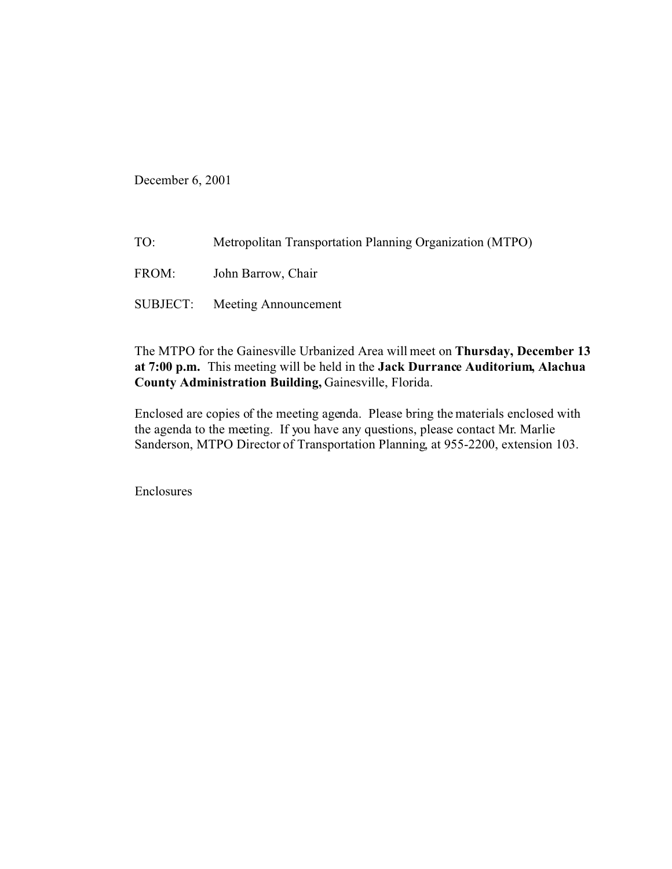December 6, 2001

| TO:   | Metropolitan Transportation Planning Organization (MTPO) |
|-------|----------------------------------------------------------|
| FROM: | John Barrow, Chair                                       |
|       | <b>SUBJECT:</b> Meeting Announcement                     |

The MTPO for the Gainesville Urbanized Area will meet on **Thursday, December 13 at 7:00 p.m.** This meeting will be held in the **Jack Durrance Auditorium, Alachua County Administration Building,** Gainesville, Florida.

Enclosed are copies of the meeting agenda. Please bring the materials enclosed with the agenda to the meeting. If you have any questions, please contact Mr. Marlie Sanderson, MTPO Director of Transportation Planning, at 955-2200, extension 103.

Enclosures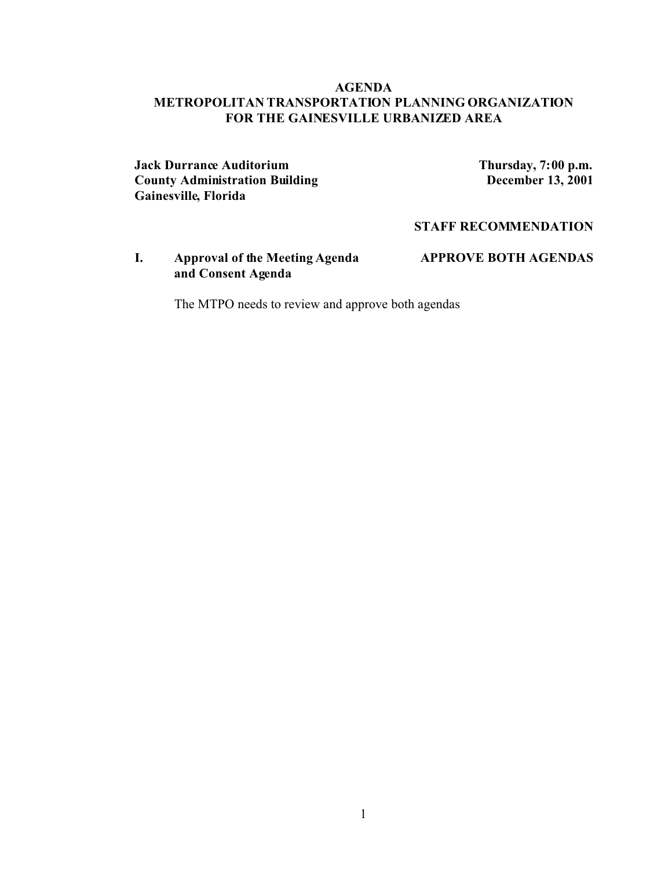## **AGENDA METROPOLITAN TRANSPORTATION PLANNING ORGANIZATION FOR THE GAINESVILLE URBANIZED AREA**

**Jack Durrance Auditorium**<br> **County Administration Building**<br> **Thursday, 7:00 p.m.**<br> **December 13, 2001 County Administration Building Gainesville, Florida**

**STAFF RECOMMENDATION**

**I. Approval of the Meeting Agenda APPROVE BOTH AGENDAS and Consent Agenda**

The MTPO needs to review and approve both agendas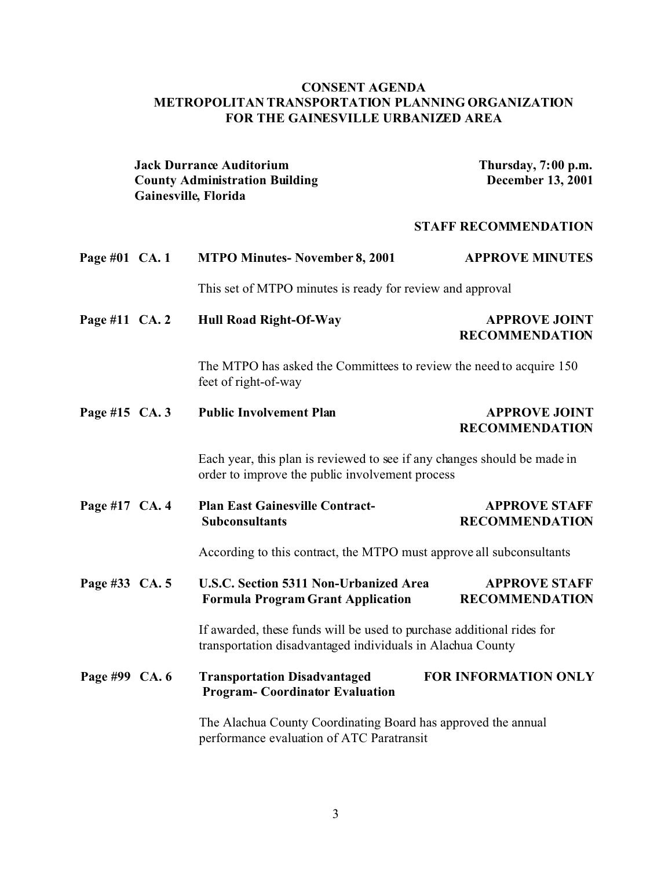## **CONSENT AGENDA METROPOLITAN TRANSPORTATION PLANNING ORGANIZATION FOR THE GAINESVILLE URBANIZED AREA**

**Jack Durrance Auditorium Thursday, 7:00 p.m. County Administration Building December 13, 2001 Gainesville, Florida STAFF RECOMMENDATION Page #01 CA. 1 MTPO Minutes- November 8, 2001 APPROVE MINUTES** This set of MTPO minutes is ready for review and approval **Page #11 CA. 2 Hull Road Right-Of-Way APPROVE JOINT RECOMMENDATION** The MTPO has asked the Committees to review the need to acquire 150 feet of right-of-way **Page #15** CA. 3 **Public Involvement Plan APPROVE JOINT RECOMMENDATION** Each year, this plan is reviewed to see if any changes should be made in order to improve the public involvement process **Page #17 CA. 4 Plan East Gainesville Contract- APPROVE STAFF Subconsultants RECOMMENDATION** According to this contract, the MTPO must approve all subconsultants **Page #33 CA. 5 U.S.C. Section 5311 Non-Urbanized Area APPROVE STAFF Formula Program Grant Application RECOMMENDATION** If awarded, these funds will be used to purchase additional rides for transportation disadvantaged individuals in Alachua County **Page #99 CA. 6 Transportation Disadvantaged FOR INFORMATION ONLY Program- Coordinator Evaluation** The Alachua County Coordinating Board has approved the annual performance evaluation of ATC Paratransit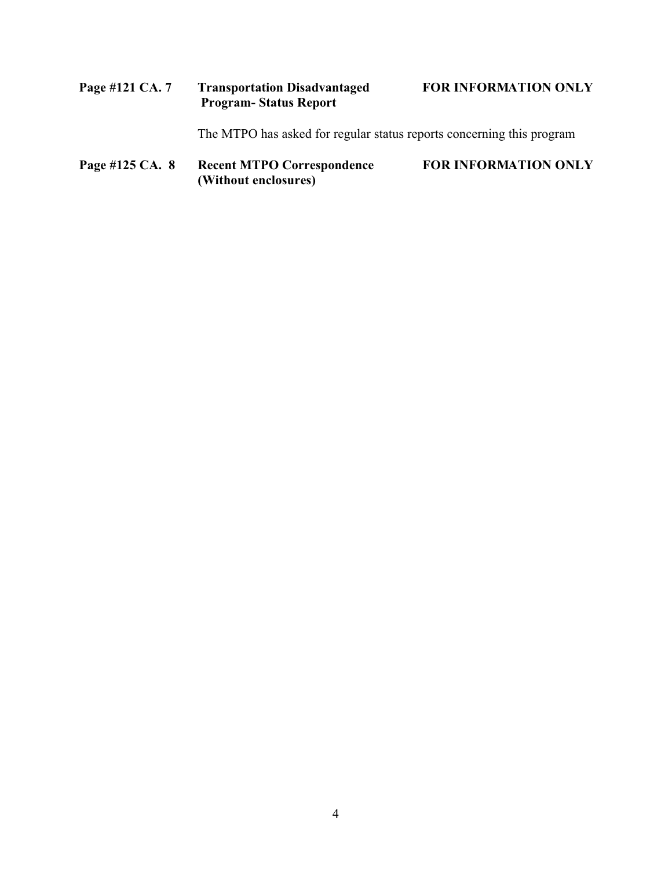# **Page #121 CA. 7 Transportation Disadvantaged FOR INFORMATION ONLY Program- Status Report**

The MTPO has asked for regular status reports concerning this program

**Page #125 CA. 8 Recent MTPO Correspondence FOR INFORMATION ONLY (Without enclosures)**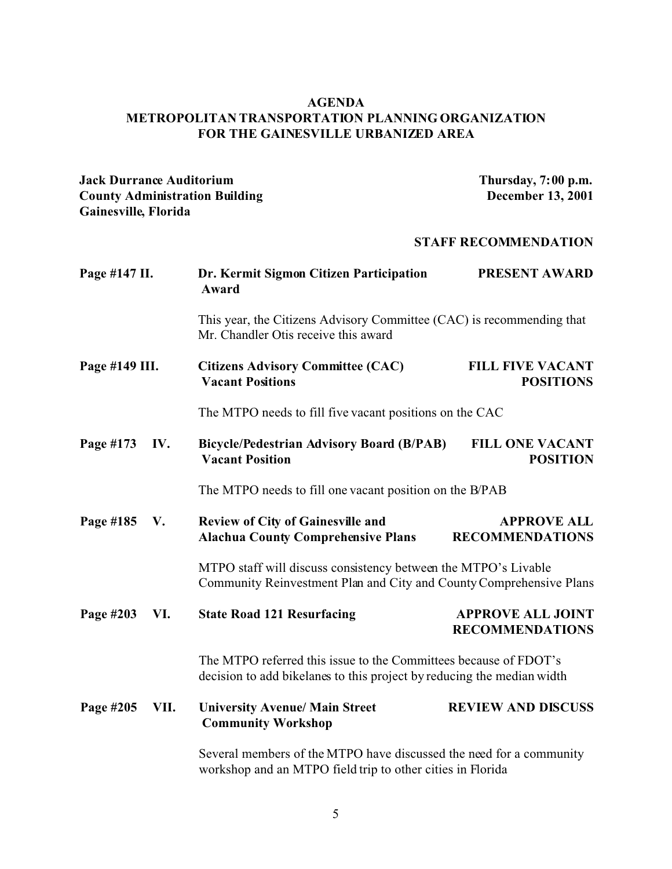## **AGENDA METROPOLITAN TRANSPORTATION PLANNING ORGANIZATION FOR THE GAINESVILLE URBANIZED AREA**

**Jack Durrance Auditorium**<br> **County Administration Building**<br> **Thursday, 7:00 p.m.**<br> **December 13, 2001 County Administration Building Gainesville, Florida**

#### **STAFF RECOMMENDATION**

| Page #147 II.  |      | Dr. Kermit Sigmon Citizen Participation<br>Award                                                                                           | PRESENT AWARD                                      |
|----------------|------|--------------------------------------------------------------------------------------------------------------------------------------------|----------------------------------------------------|
|                |      | This year, the Citizens Advisory Committee (CAC) is recommending that<br>Mr. Chandler Otis receive this award                              |                                                    |
| Page #149 III. |      | <b>Citizens Advisory Committee (CAC)</b><br><b>Vacant Positions</b>                                                                        | <b>FILL FIVE VACANT</b><br><b>POSITIONS</b>        |
|                |      | The MTPO needs to fill five vacant positions on the CAC                                                                                    |                                                    |
| Page #173      | IV.  | <b>Bicycle/Pedestrian Advisory Board (B/PAB)</b><br><b>Vacant Position</b>                                                                 | <b>FILL ONE VACANT</b><br><b>POSITION</b>          |
|                |      | The MTPO needs to fill one vacant position on the B/PAB                                                                                    |                                                    |
| Page #185      | V.   | <b>Review of City of Gainesville and</b><br><b>Alachua County Comprehensive Plans</b>                                                      | <b>APPROVE ALL</b><br><b>RECOMMENDATIONS</b>       |
|                |      | MTPO staff will discuss consistency between the MTPO's Livable<br>Community Reinvestment Plan and City and County Comprehensive Plans      |                                                    |
| Page #203      | VI.  | <b>State Road 121 Resurfacing</b>                                                                                                          | <b>APPROVE ALL JOINT</b><br><b>RECOMMENDATIONS</b> |
|                |      | The MTPO referred this issue to the Committees because of FDOT's<br>decision to add bikelanes to this project by reducing the median width |                                                    |
| Page #205      | VII. | <b>University Avenue/ Main Street</b><br><b>Community Workshop</b>                                                                         | <b>REVIEW AND DISCUSS</b>                          |
|                |      | Several members of the MTPO have discussed the need for a community<br>workshop and an MTPO field trip to other cities in Florida          |                                                    |